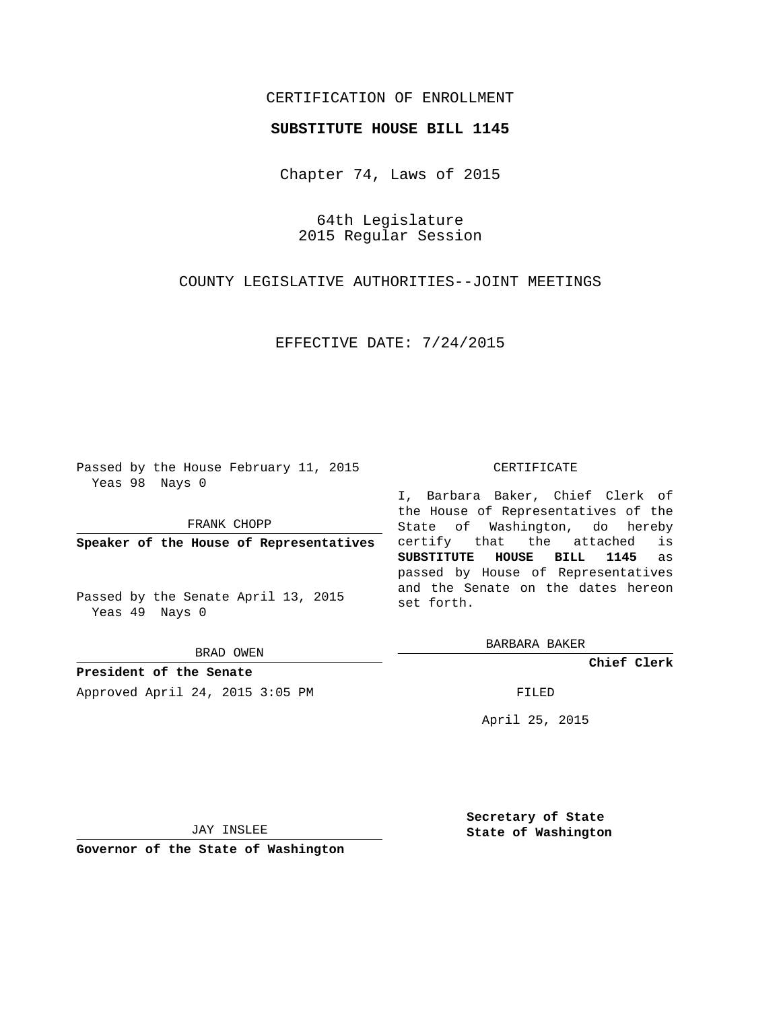## CERTIFICATION OF ENROLLMENT

## **SUBSTITUTE HOUSE BILL 1145**

Chapter 74, Laws of 2015

64th Legislature 2015 Regular Session

COUNTY LEGISLATIVE AUTHORITIES--JOINT MEETINGS

EFFECTIVE DATE: 7/24/2015

Passed by the House February 11, 2015 Yeas 98 Nays 0

FRANK CHOPP

**Speaker of the House of Representatives**

Passed by the Senate April 13, 2015 Yeas 49 Nays 0

BRAD OWEN

**President of the Senate** Approved April 24, 2015 3:05 PM FILED

## CERTIFICATE

I, Barbara Baker, Chief Clerk of the House of Representatives of the State of Washington, do hereby certify that the attached is **SUBSTITUTE HOUSE BILL 1145** as passed by House of Representatives and the Senate on the dates hereon set forth.

BARBARA BAKER

**Chief Clerk**

April 25, 2015

JAY INSLEE

**Governor of the State of Washington**

**Secretary of State State of Washington**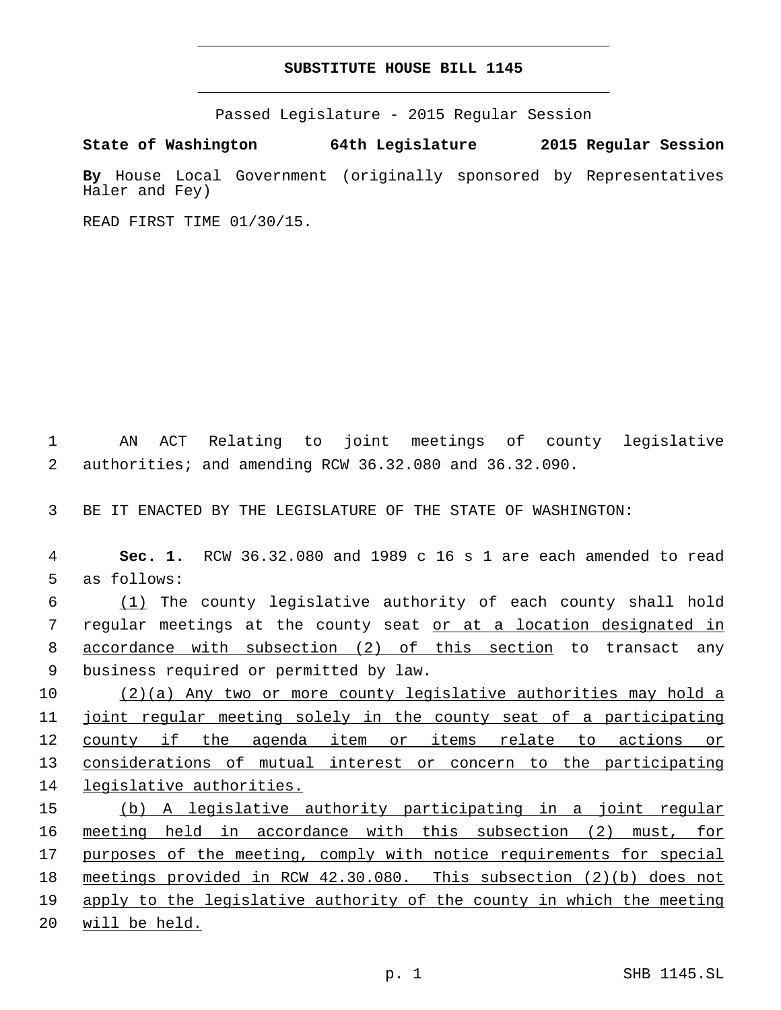## **SUBSTITUTE HOUSE BILL 1145**

Passed Legislature - 2015 Regular Session

**State of Washington 64th Legislature 2015 Regular Session**

**By** House Local Government (originally sponsored by Representatives Haler and Fey)

READ FIRST TIME 01/30/15.

1 AN ACT Relating to joint meetings of county legislative 2 authorities; and amending RCW 36.32.080 and 36.32.090.

3 BE IT ENACTED BY THE LEGISLATURE OF THE STATE OF WASHINGTON:

4 **Sec. 1.** RCW 36.32.080 and 1989 c 16 s 1 are each amended to read 5 as follows:

6 (1) The county legislative authority of each county shall hold 7 regular meetings at the county seat or at a location designated in 8 accordance with subsection (2) of this section to transact any 9 business required or permitted by law.

 (2)(a) Any two or more county legislative authorities may hold a joint regular meeting solely in the county seat of a participating county if the agenda item or items relate to actions or considerations of mutual interest or concern to the participating legislative authorities.

 (b) A legislative authority participating in a joint regular meeting held in accordance with this subsection (2) must, for 17 purposes of the meeting, comply with notice requirements for special meetings provided in RCW 42.30.080. This subsection (2)(b) does not apply to the legislative authority of the county in which the meeting will be held.